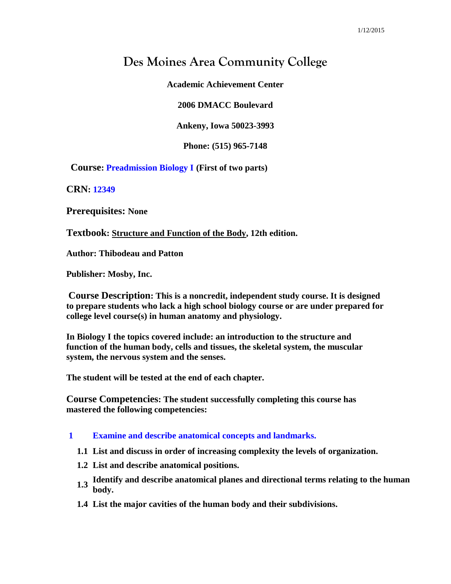# **Des Moines Area Community College**

**Academic Achievement Center**

**2006 DMACC Boulevard**

**Ankeny, Iowa 50023-3993**

**Phone: (515) 965-7148**

**Course: Preadmission Biology I (First of two parts)**

**CRN: 12349**

**Prerequisites: None**

**Textbook: Structure and Function of the Body, 12th edition.**

**Author: Thibodeau and Patton**

**Publisher: Mosby, Inc.**

**Course Description: This is a noncredit, independent study course. It is designed to prepare students who lack a high school biology course or are under prepared for college level course(s) in human anatomy and physiology.** 

**In Biology I the topics covered include: an introduction to the structure and function of the human body, cells and tissues, the skeletal system, the muscular system, the nervous system and the senses.**

**The student will be tested at the end of each chapter.** 

**Course Competencies: The student successfully completing this course has mastered the following competencies:**

# **1 Examine and describe anatomical concepts and landmarks.**

- **1.1 List and discuss in order of increasing complexity the levels of organization.**
- **1.2 List and describe anatomical positions.**
- **1.3** Identify and describe anatomical planes and directional terms relating to the human hadre **body.**
- **1.4 List the major cavities of the human body and their subdivisions.**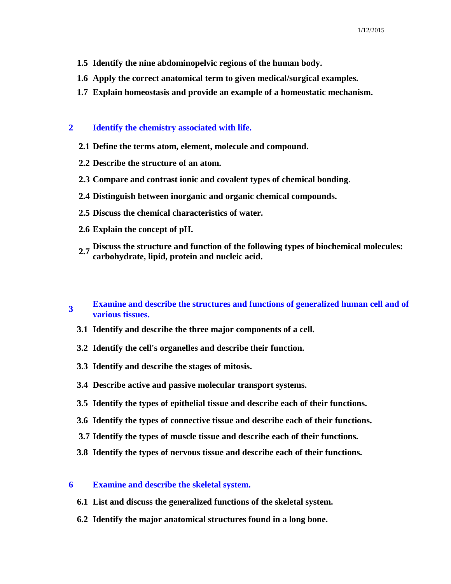- **1.5 Identify the nine abdominopelvic regions of the human body.**
- **1.6 Apply the correct anatomical term to given medical/surgical examples.**
- **1.7 Explain homeostasis and provide an example of a homeostatic mechanism.**

## **2 Identify the chemistry associated with life.**

- **2.1 Define the terms atom, element, molecule and compound.**
- **2.2 Describe the structure of an atom.**
- **2.3 Compare and contrast ionic and covalent types of chemical bonding**.
- **2.4 Distinguish between inorganic and organic chemical compounds.**
- **2.5 Discuss the chemical characteristics of water.**
- **2.6 Explain the concept of pH.**
- **2.7 Discuss the structure and function of the following types of biochemical molecules: carbohydrate, lipid, protein and nucleic acid.**

#### **3 Examine and describe the structures and functions of generalized human cell and of various tissues.**

- **3.1 Identify and describe the three major components of a cell.**
- **3.2 Identify the cell's organelles and describe their function.**
- **3.3 Identify and describe the stages of mitosis.**
- **3.4 Describe active and passive molecular transport systems.**
- **3.5 Identify the types of epithelial tissue and describe each of their functions.**
- **3.6 Identify the types of connective tissue and describe each of their functions.**
- **3.7 Identify the types of muscle tissue and describe each of their functions.**
- **3.8 Identify the types of nervous tissue and describe each of their functions.**

#### **6 Examine and describe the skeletal system.**

- **6.1 List and discuss the generalized functions of the skeletal system.**
- **6.2 Identify the major anatomical structures found in a long bone.**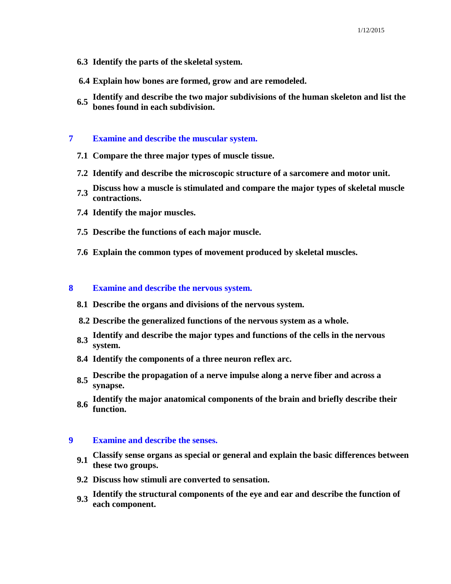- **6.3 Identify the parts of the skeletal system.**
- **6.4 Explain how bones are formed, grow and are remodeled.**
- **6.5 Identify and describe the two major subdivisions of the human skeleton and list the bones found in each subdivision.**

### **7 Examine and describe the muscular system.**

- **7.1 Compare the three major types of muscle tissue.**
- **7.2 Identify and describe the microscopic structure of a sarcomere and motor unit.**
- **7.3 Discuss how a muscle is stimulated and compare the major types of skeletal muscle contractions.**
- **7.4 Identify the major muscles.**
- **7.5 Describe the functions of each major muscle.**
- **7.6 Explain the common types of movement produced by skeletal muscles.**

# **8 Examine and describe the nervous system.**

- **8.1 Describe the organs and divisions of the nervous system.**
- **8.2 Describe the generalized functions of the nervous system as a whole.**
- **8.3 Identify and describe the major types and functions of the cells in the nervous system.**
- **8.4 Identify the components of a three neuron reflex arc.**
- **8.5 Describe the propagation of a nerve impulse along a nerve fiber and across a synapse.**
- **8.6 Identify the major anatomical components of the brain and briefly describe their function.**

# **9 Examine and describe the senses.**

- **9.1 Classify sense organs as special or general and explain the basic differences between these two groups.**
- **9.2 Discuss how stimuli are converted to sensation.**
- **9.3 Identify the structural components of the eye and ear and describe the function of each component.**